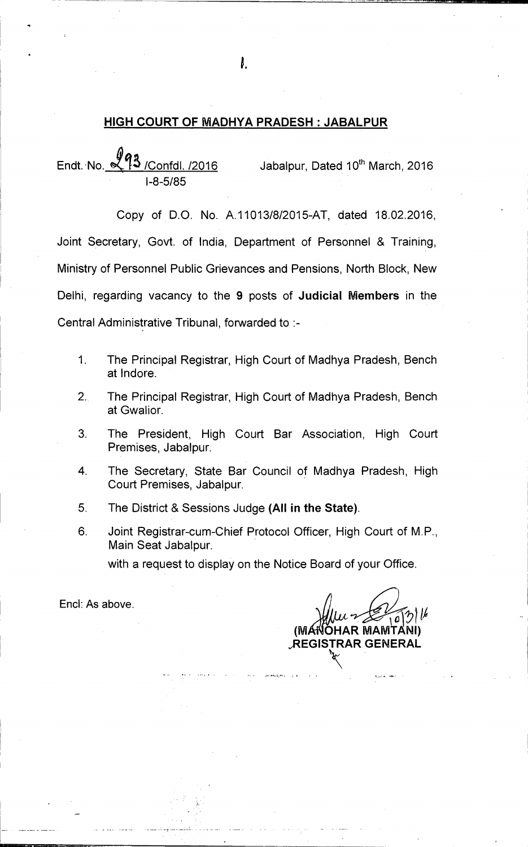## **HIGH COURT OF MADHYA PRADESH : JABALPUR**

Endt. No.  $\mathbb{R}^{\mathbb{T}}$  / Confdl. /2016 Jabalpur, Dated 10<sup>th</sup> March, 2016 1-8-5/85

Copy of D.O. No. A.11013/8/2015-AT, dated 18.02.2016, Joint Secretary, Govt. of India, Department of Personnel & Training, Ministry of Personnel Public Grievances and Pensions, North Block, New Delhi, regarding vacancy to the **9** posts of **Judicial Members** in the Central Administrative Tribunal, forwarded to :-

- 1. The Principal Registrar, High Court of Madhya Pradesh, Bench at lndore.
- $2.$ The Principal Registrar, High Court of Madhya Pradesh, Bench at Gwalior.
- 3. The President, High Court Bar Association, High Court Premises, Jabalpur.
- 4. The Secretary, State Bar Council of Madhya Pradesh, High Court Premises, Jabalpur.
- 5. The District & Sessions Judge **(All in the State).**
- 6. Joint Registrar-cum-Chief Protocol Officer, High Court of M.P., Main Seat Jabalpur.

with a request to display on the Notice Board of your Office.

End: As above.

**1019 (M OHAR MAMTANI)**   $R$ EGISTRAR GE

t.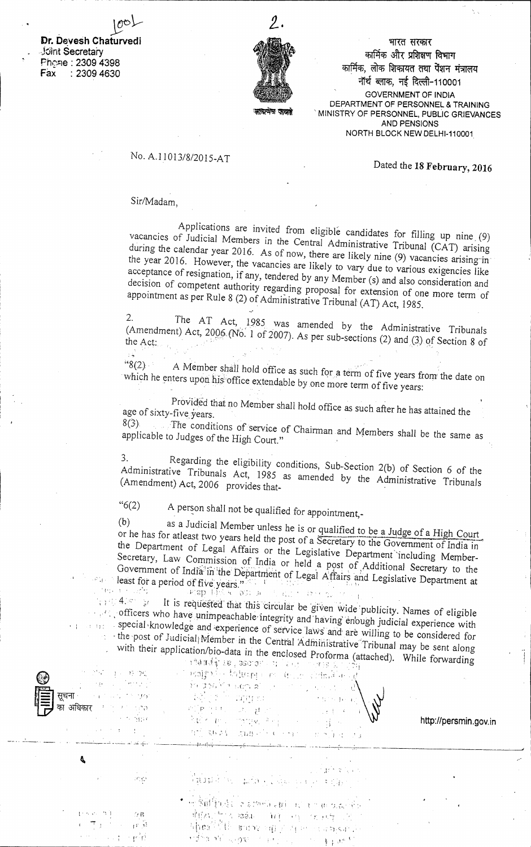**Dr. Devesh Chaturvedi** Joint Secretary Phche: 2309 4398 Fax : 2309 4630

 $\hat{\nu}^{\alpha}_{\ \alpha}(\cdot)$ 



भारत सरकार कार्मिक और प्रशिक्षण विभाग कार्मिक, लोक शिकायत तथा पेंशन मंत्रालय नॉर्थ ब्लाक, नई दिल्ली-110001 GOVERNMENT OF INDIA DEPARTMENT OF PERSONNEL & TRAINING MINISTRY OF PERSONNEL, PUBLIC GRIEVANCES AND PENSIONS NORTH BLOCK NEW DELHI-110001

## No. A.1 1013/8/2015-AT

Dated the **18 February, 2016** 

## Sir/Madam,

Applications are invited from eligible candidates for filling up nine (9) vacancies of Judicial Members in the Central Administrative Tribunal (CAT) arising during the calendar year 2016. As of now, there are likely nine (9) vacancies arising in the year 2016. However, the vacancies are likely to vary due to various exigencies like acceptance of resignation, if any, tendered by any Member (s) and also consideration and decision of competent authority regarding proposal for extension of one more term of appointment as per Rule 8 (2) of Administrative Tribunal (AT) Act, 1985.

2. The AT Act, 1985 was amended by the Administrative Tribunals (Amendment) Act,  $2006$  (No. 1 of 2007). As per sub-sections (2) and (3) of Section 8 of

 $8(2)$ A Member shall hold office as such for a term of five years from the date on which he enters upon his office extendable by one more term of five years:

ProVided that no Member shall hold office as such after he has attained the age of sixty-five years.

 $8(3)$  The conditions of service of Chairman and Members shall be the same as applicable to Judges of the High Court " applicable to Judges of the High Court."

3. Regarding the eligibility conditions, Sub-Section 2(b) of Section 6 of the Administrative Tribunals Act, 1985 as amended by the Administrative Tribunals (Amendment) Act, 2006 provides that-

"6(2) A person shall not be qualified for appointment,-

(b) as a Judicial Member unless he is or qualified to be a Judge of a High Court or he has for atleast two years held the post of a Secretary to the Government of India in<br>the Department of Legal Affairs on the Luis Luis Luis Covernment of India in the Department of Legal Affairs or the Legislative Department'including Member-Secretary, Law Commission of India or held a post of Additional Secretary to the a'in'the Department of Legal Affairs and Legislative Department at least fora period of fiVe yearS." • least for a period of five years."

 $4.5$  3 $t$  It is requested that this circular be given wide publicity. Names of eligible officers who have unimpeachable. integrity and 'having enbugh judicial experience with special knowledge and experience of service laws and are willing to be considered for - the .post of Judicial! Member in the Central Adininistrative 'Tribunal may be sent along with their application/bio-data in the enclosed Proforma (attached). While forwarding

| "不得你"的"好"。<br>$\mathcal{L}(\mathcal{D})$ , and $\mathcal{D}(\mathcal{D})$ , and $\mathcal{D}(\mathcal{D})$<br>सूचना<br>San Andrews<br>का अधिकार का सामना करने हैं।<br>a se a construção de | are encrosed Frotofina (attached). While forwarding<br>ារ <b>ាម ពៅទ្វា រទេ , ៦១០០</b> ២ ការ ដែល្ងា ៣២២១ រ៉ូរ៉ុក រូបពីរ<br>e i nografje tednom er drum sirkakinesk<br>an xaraba bosal sheetay wext saan<br>i de la finalitat de la finalitat de la finalitat de la finalitat de la finalitat de la finalitat de la finali<br>La finalitat de la finalitat de la finalitat de la finalitat de la finalitat de la finalitat de la finalitat d<br>$\mathbb{E} \mathcal{M}^{\mathbb{P}} \subseteq \mathbb{P} \times \mathbb{P} \mathbb{P} \mathbb{P} \mathbb{P} \subseteq \mathbb{P} \times \mathbb{P} \times \mathbb{P} \times \mathbb{P} \times \mathbb{P}$<br>and steps and the company of School and | http://persmin.gov.in |
|--------------------------------------------------------------------------------------------------------------------------------------------------------------------------------------------|-----------------------------------------------------------------------------------------------------------------------------------------------------------------------------------------------------------------------------------------------------------------------------------------------------------------------------------------------------------------------------------------------------------------------------------------------------------------------------------------------------------------------------------------------------------------------------------------------------------------------------------------------------------------------------------------------------|-----------------------|
|                                                                                                                                                                                            | ليؤرث وإستعسامات المستاج المتعابد والمتاحية والتواريخ والبارية والبارية<br>and a structure of the structure                                                                                                                                                                                                                                                                                                                                                                                                                                                                                                                                                                                         |                       |
| 30 C                                                                                                                                                                                       | $\frac{\partial}{\partial t} \frac{\partial}{\partial t} \frac{\partial}{\partial t} \frac{\partial}{\partial t} \frac{\partial}{\partial t} \frac{\partial}{\partial x} = \lim_{\varepsilon \to 0} \frac{\partial}{\partial t} \frac{\partial}{\partial x} \frac{\partial}{\partial x} + \lim_{\varepsilon \to 0} \frac{\partial}{\partial t} \frac{\partial}{\partial x} \frac{\partial}{\partial x} + \lim_{\varepsilon \to 0} \frac{\partial}{\partial t} \frac{\partial}{\partial x} \frac{\partial}{\partial x} + \lim_{\varepsilon \to 0} \frac{\partial}{\partial x} \frac{\partial}{\partial x} \frac{\partial}{\partial x} + \lim_{\v$                                                    |                       |
| $\mathcal{I}=\{x,y,z\in\mathcal{B}_0\}$ .<br>$\mathcal{L}(\mathcal{B})$<br>( 中) ( ) 程前<br>100 - 101 mpd                                                                                    | $\label{eq:3.1} \bullet \rightarrow \mathbb{R} \widehat{\mathbb{P}} \widehat{\mathbb{P}} \widehat{\mathbb{P}} \widehat{\mathbb{P}} \widehat{\mathbb{P}} \widehat{\mathbb{P}} \widehat{\mathbb{P}} \widehat{\mathbb{P}} \widehat{\mathbb{P}} \widehat{\mathbb{P}} \widehat{\mathbb{P}} \widehat{\mathbb{P}} \widehat{\mathbb{P}} \widehat{\mathbb{P}} \widehat{\mathbb{P}} \widehat{\mathbb{P}} \widehat{\mathbb{P}} \widehat{\mathbb{P}} \widehat{\mathbb{P}} \widehat{\mathbb{P}} \widehat{\mathbb{P}} \widehat{\mathbb{P}} \widehat$<br>难取时梦候 皱纹 一致狂 网络一场 机接口器 不<br>whealth the break and of the company of the<br>າງສຳລັກໃຫ້ພວກກະລິດ ແລະ ແລະ ເລືອກ ແລະ                                           |                       |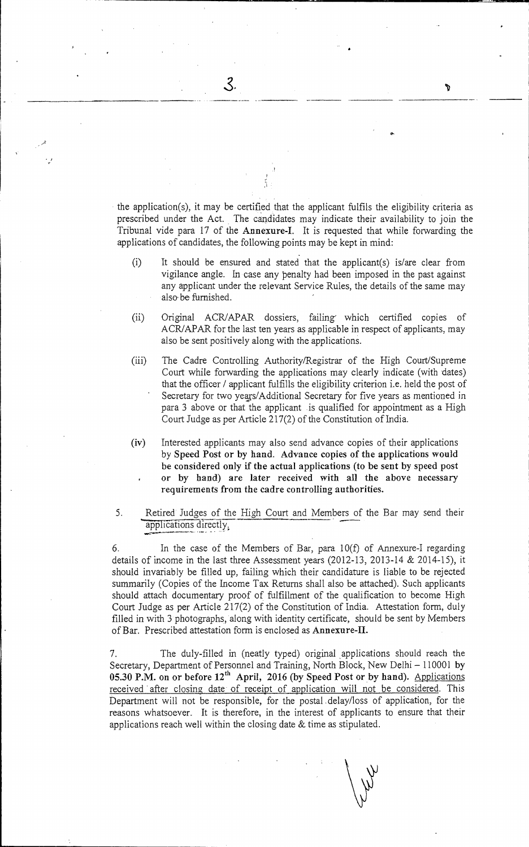• the application(s), it may be certified that the applicant fulfils the eligibility criteria as prescribed under the Act. The candidates may indicate their availability to join the Tribunal vide para 17 of the Annexure-I. It is requested that while forwarding the applications of candidates, the following points may be kept in mind:

 $\mathcal{S}$ 

**'17** 

- (i) It should be ensured and stated that the applicant(s) is/are clear from vigilance angle. In case any penalty had been imposed in the past against any applicant under the relevant Service Rules, the details of the same may also be furnished.
- (ii) Original ACR/APAR dossiers, failing' which certified copies of ACR/APAR for the last ten years as applicable in respect of applicants, may also be sent positively along with the applications.
- (iii) The Cadre Controlling Authority/Registrar of the High Court/Supreme Court while forwarding the applications may clearly indicate (with dates) that the officer / applicant fulfills the eligibility criterion i.e. held the post of Secretary for two years/Additional Secretary for five years as mentioned in para 3 above or that the applicant is qualified for appointment as a High Court Judge as per Article 217(2) of the Constitution of India.
- (iv) Interested applicants may also send advance copies of their applications by Speed Post or by hand. Advance copies of the applications would be considered only if the actual applications (to be sent by speed post or by hand) are later received with all the above necessary requirements from the cadre controlling authorities.
- 5. Retired Judges of the High Court and Members of the Bar may send their applications directly.

6. In the case of the Members of Bar, para 10(f) of Annexure-I regarding details of income in the last three Assessment years (2012-13, 2013-14 & 2014-15), it should invariably be filled up, failing which their candidature is liable to be rejected summarily (Copies of the income Tax Returns shall also be attached). Such applicants should attach documentary proof of fulfillment of the qualification to become High Court Judge as per Article 217(2) of the Constitution of India. Attestation form, duly filled in with 3 photographs, along with identity certificate, should be sent by Members of Bar. Prescribed attestation form is enclosed as Annexure-II.

7. The duly-filled in (neatly typed) original ,applications should reach the Secretary, Department of Personnel and Training, North Block, New Delhi — 110001 by 05.30 P.M. on or before 12<sup>th</sup> April, 2016 (by Speed Post or by hand). Applications received after closing date of receipt of application will not be considered. This Department will not be responsible, for the postal . delay/loss of application, for the reasons whatsoever. It is therefore, in the interest of applicants to ensure that their applications reach well within the closing date & time as stipulated.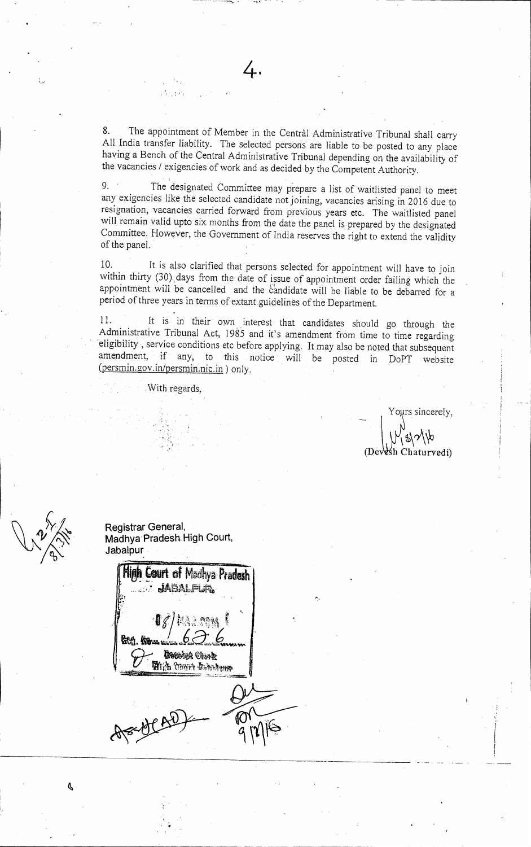8. The appointment of Member in the Central Administrative Tribunal shall carry All India transfer liability. The selected persons are liable to be posted to any place having a Bench of the Central Administrative Tribunal depending on the availability of the vacancies / exigencies of work and as decided by the Competent Authority.

4.

9. The designated Committee may prepare a list of waitlisted panel to meet any exigencies like the selected candidate not joining, vacancies arising in 2016 due to resignation, vacancies carried forward from previous years etc. The waitlisted panel will remain valid upto six months from the date the panel is prepared by the designated Committee. However, the Government of India reserves the right to extend the validity of the panel.

10. It is also clarified that persons selected for appointment will have to join within thirty (30). days from the date of issue of appointment order failing which the appointment will be cancelled and the candidate will be liable to be debarred for a period of three years in terms of extant guidelines of the Department.

11. It is in their own interest that candidates should go through the Administrative Tribunal Act, 1985 and it's amendment from time to time regarding eligibility, service conditions etc before applying. It may also be noted that subsequent amendment, if any, to this notice will be posted in DoPT website (persmin.gov.in/persmin.nic.in) only.

With regards,

Yogrs sincerely,

 $\frac{1}{2}$ h Chaturvedi)



**Registrar General, Madhya Pradesh\_ High Court, Jabalpur** 

**High Court of Madhya Pradesh** • tiAtm,,Pun.  $\mathbf{g}_{\mathcal{N}}$ **Receive Creek Hich Yours Industry**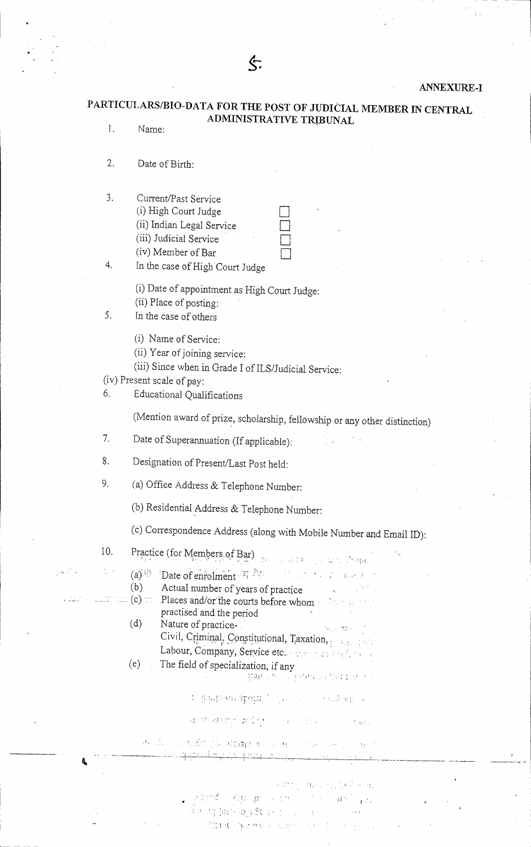### ANNEXURE-I

# PARTICULARS/BIO-DATA FOR THE POST OF JUDICIAL MEMBER IN CENTRAL ADMINISTRATIVE TRIBUNAL

I. Name:

2. Date of Birth:

| 3. | Current/Past Service      |  |
|----|---------------------------|--|
|    | (i) High Court Judge      |  |
|    | (ii) Indian Legal Service |  |
|    | (iii) Judicial Service    |  |
|    | (iv) Member of Bar        |  |
|    |                           |  |

4. In the case of High Court Judge

(i) Date of appointment as High Court Judge:

(ii) Place of posting:

5. In the case of others

(i) Name of Service:

- (ii) Year of joining service:
- (iii) Since when in Grade I of ILS/Judicial Service:

(iv) Present scale of pay:

6. Educational Qualifications

(Mention award of prize, scholarship, fellowship or any other distinction)

7. Date of Superannuation (If applicable):

8. Designation of Present/Last Post held:

9. (a) Office Address & Telephone Number:

(b) Residential Address & Telephone Number:

(c) Correspondence Address (along with Mobile Number and Email ID):

என்பார் கூற தேடியி **CONTRACTOR** BANK

 $\mathcal{L}_{\text{max}}$ 

- 10. Practice (for Members of Bar)
	- $(a)^{3/15}$  Date of enrolment  $^{37}$  Fm
- (b) Actual number of years of practice<br>(c)  $\mathbb{R}$ . Places and/or/the courts before whom
- - practised and the period (d) Nature of practice-**The Control** Civil, Criminal, Constitutional, Taxation, and the

Places and/or the courts before whom

- Labour, Company, Service etc. Promotion of the se (e) The field of specialization, if any
	- - $\overline{\mathbb{C}}^1(\mathbb{C})\otimes\mathbb{C}^1(\mathbb{C})\otimes\mathbb{C}^1(\mathbb{C})\otimes\mathbb{C}^1(\mathbb{C})\otimes\mathbb{C}^1(\mathbb{C})\otimes\mathbb{C}^1(\mathbb{C})\otimes\mathbb{C}^1(\mathbb{C}^1)\otimes\mathbb{C}^1(\mathbb{C}^1)\otimes\mathbb{C}^1(\mathbb{C}^1)\otimes\mathbb{C}^1(\mathbb{C}^1)\otimes\mathbb{C}^1(\mathbb{C}^1)\otimes\mathbb{C}^1(\mathbb{C}^1)\otimes\$
		- CONSTRUCTION IN THE CONSTRUCTION OF THE CONSTRUCTION

l nako prostatagos es sono esse specifi in politi عنتقر حوجها

> 1950 오스, 일반문 사람(b) **采访性**的人

, alternation Asgociation of the Community of the Community of the Community of  $\mathbf{r}^{(1)}$  . a ja da berkoop Etaria ini mana mingi osti

Enter Service Reservation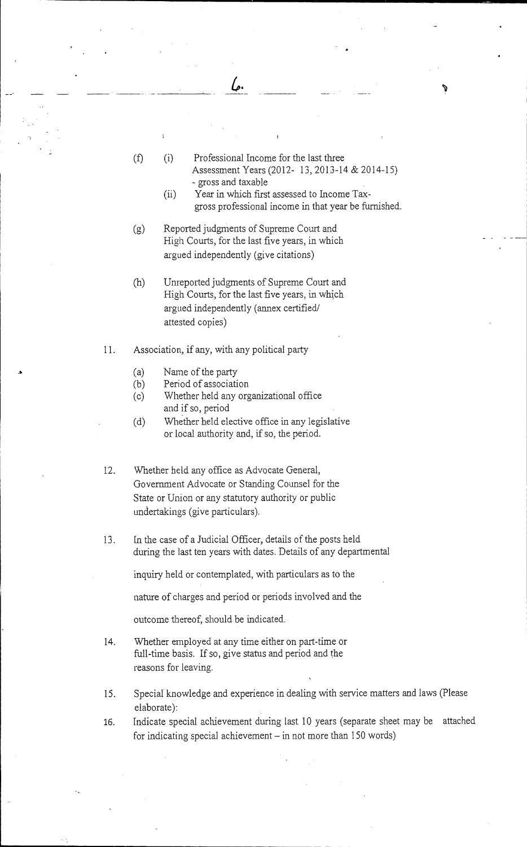(f) (i) Professional Income for the last three Assessment Years (2012- 13, 2013-14 & 2014-15) - gross and taxable (ii) Year in which first assessed to Income Taxgross professional income in that year be furnished. (g) Reported judgments of Supreme Court and High Courts, for the last five years, in which argued independently (give citations) (h) Unreported judgments of Supreme Court and High Courts, for the last five years, in which argued independently (annex certified/ attested copies) 11. Association, if any, with any political party (a) Name of the party (b) Period of association (c) Whether held any organizational office and if so, period (d) Whether held elective office in any legislative or local authority and, if so, the period.

سما

- 12. Whether held any office as Advocate General, Government Advocate or Standing Counsel for the State or Union or any statutory authority or public undertakings (give particulars).
- 13. In the case of a Judicial Officer, details of the posts held during the last ten years with dates. Details of any departmental

inquiry held or contemplated, with particulars as to the

nature of charges and period or periods involved and the

outcome thereof, should be indicated.

- 14. Whether employed at any time either on part-time or full-time basis. If so, give status and period and the reasons for leaving.
- 15. Special knowledge and experience in dealing with service matters and laws (Please elaborate):
- 16. Indicate special achievement during last 10 years (separate sheet may be attached for indicating special achievement — in not more than 150 words)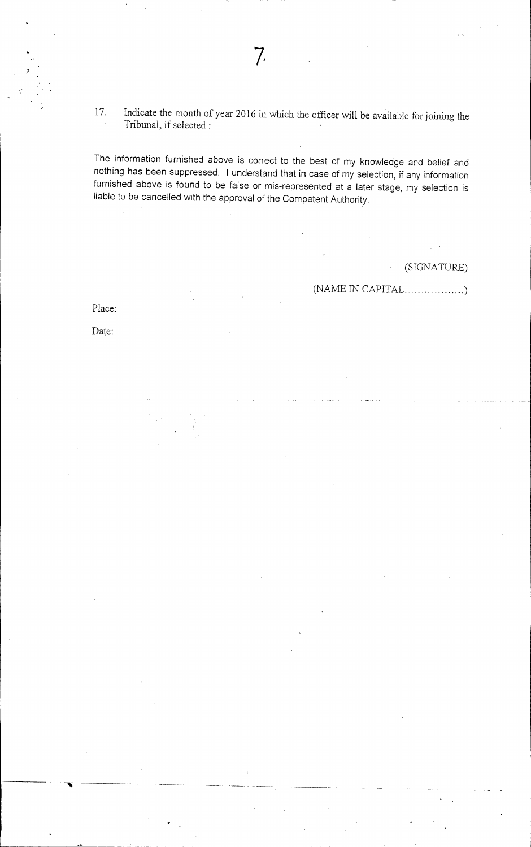17. Indicate the month of year 2016 in which the officer will be available for joining the Tribunal, if selected:

The information furnished above is correct to the best of my knowledge and belief and nothing has been suppressed. I understand that in case of my selection, if any information furnished above is found to be false or mis-represented at a later stage, my selection is liable to be cancelled with the approval of the Competent Authority.

(SIGNATURE)

(NAME IN CAPITAL

Date:

Place: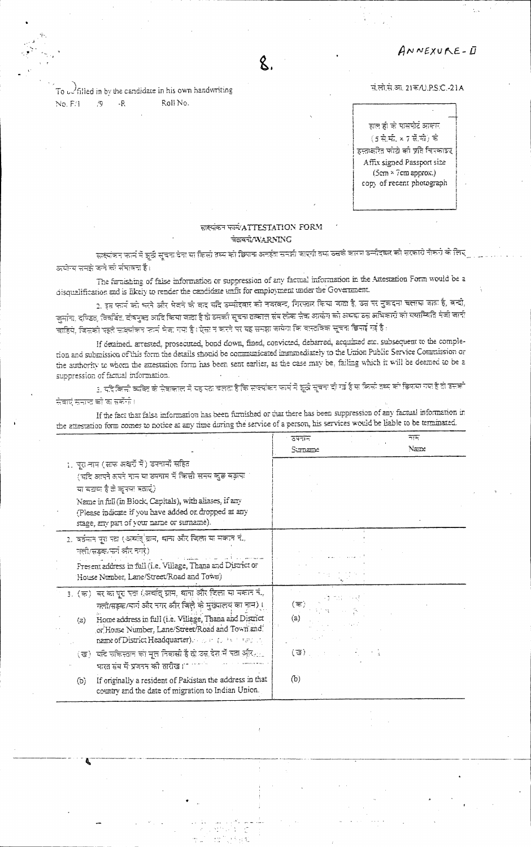ANNEXURE-D

To  $\omega$  filled in by the candidate in his own handwriting  $No.F(1)$ Roll No.  $/9$  $\cdot$  R

#### नं.लो.स.आ. 21क/U.P.S.C.-21A

हाल ही के पासपोर्ट आकार  $(5\overline{7}\overline{7}+\overline{7})\overline{7}$  ,  $(5\overline{7})\overline{7}$ इस्तक्षरित फोटो को प्रति चित्रकाइए Affix signed Passport size  $(5cm \times 7cm$  approx.) copy of recent photograph

### साइयंकन फार्म ATTESTATION FORM चेलवर्च/WARNING

सक्यंत्रन कार्म में झूठी सूचना देना या किसी तथ्य की छिपाना अनईता समझी जाएगी तथा उसके कारण उम्मीदकर की सरकारी नौकरी के लिए अयोग्य समझे कने को संभावना है।

The furnishing of false information or suppression of any factual information in the Attestation Form would be a disqualification and is likely to render the candidate unfit for employment under the Government.

2. इस फार्म को भरने और मेलने को बाद बंदि उम्मीदेवार को नवरबन्द, गिरफ्तार किया बाता है, उस पर मुकदमा चलाया जाता है, बन्दी, जुमान, दण्डित, विवर्बित दोषमुक्त आदि किया जाता है तो उसकी सूचना तत्काल संब लोक सेवा आयोग को अधक उस अधिकारी को यशस्थिति मेजी जानी चाहिये, जिसको पहले साक्सेकन फार्म मेक, गया है। ऐसा न करने पर यह समझ जायेगा कि वास्तविक सूचना डिसाई गई है।

If detained, arrested, prosecuted, bond down, fined, convicted, debarred, acquitted etc. subsequent to the completion and submission of this form the details should be communicated imminediately to the Union Public Service Commission or the authority to whom the attestation form has been sent earlier, as the case may be, failing which it will be deemed to be a suppression of factual information.

1. यदिकिमी व्यक्ति के सेवाकाल में यह पता चलता है कि सक्यांकन फार्म में झूठी सूचना दी गई है या किसी तथ्य को डिसल गया है तो उसको सेवाएँ समाज को का सकेंग्रे ।

If the fact that false information has been furnished or that there has been suppression of any factual information in the attestation form comes to notice at any time during the service of a person, his services would be liable to be terminated.

|                                                                                                                                                                                                                                                                                                                                                          | コミケ<br>こうすい<br>Nanc<br>Sunane                                                         |  |
|----------------------------------------------------------------------------------------------------------------------------------------------------------------------------------------------------------------------------------------------------------------------------------------------------------------------------------------------------------|---------------------------------------------------------------------------------------|--|
| 1. पुरानाम (साफ अक्षरों में) उपनामों सहित<br>(चंदि आपने अपने नाम या समाम में किसी समय कुछ बड़ाया<br>या बटाक है तो कुपया बताएं)<br>Name in full (in Block, Capitals), with aliases, if any<br>(Please indicate if you have added or dropped at any<br>stage, any part of your name or surname).                                                           |                                                                                       |  |
| 2. वर्तमान पूरा पदा (अर्थात् ग्राम, धाना और विला या मकाने नं.,<br>गली/सडक/सर्ग और नगरे)<br>Present address in full (i.e. Village, Thana and District or<br>House Number, Lane/Street/Road and Town)                                                                                                                                                      |                                                                                       |  |
| 3. (क) वर का पूर पता (अर्थात् ग्राम, थाना और दिला यो मकान नं.,<br>गलो/सहक/मान और नगर और जिले के मुख्यालय का नाम)।<br>Home address in full (i.e. Village, Thana and District<br>(z)<br>or House Number, Lane/Street/Road and Town and<br>name of District Headquarter). The track the formula<br>(ख)। यदि पाकिस्तान की मूल निवासी है तो उस देश में पता और | $(\overline{\pi})$<br>(a)<br>$(\overline{\mathbf{u}})$ , where $\mathbf{u}$ , we have |  |
| भारत संब में प्रजनन की तारीख।' -<br>If originally a resident of Pakistan the address in that<br>(b)<br>country and the date of migration to Indian Union.                                                                                                                                                                                                | (b)                                                                                   |  |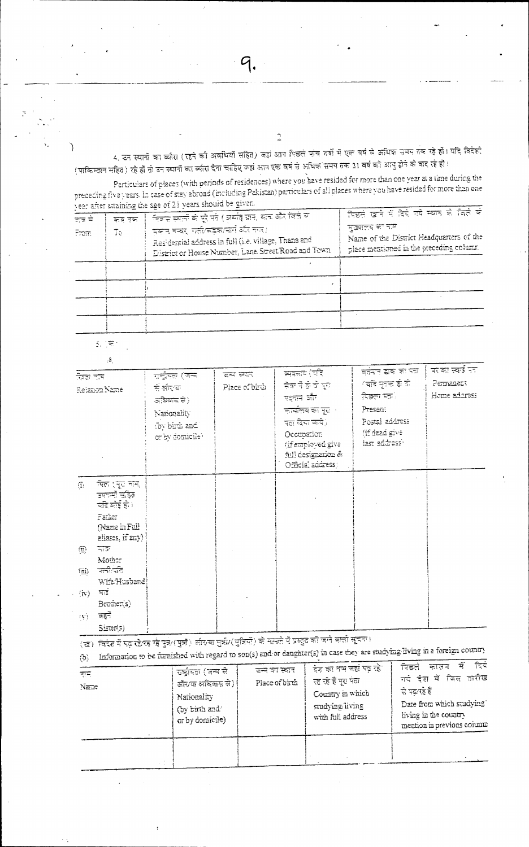4, उन स्यानों का ब्लैरा (रहने की अवधियों सहित) जहां आप पिछले पांच नहीं में एक वर्ष से अधिक समय तक रहे हों। यदि विदेश (पाकिन्तान सहित) रहे हों तो उन स्थानों का व्यारा देना चाहिए जहां आप एक वर्ष से अधिक समय तक 21 वर्ष को आयु होने के बाद रहे हों।

 $\overline{2}$ 

Particulars of places (with periods of residences) where you have resided for more than one year at a time during the preceding five years. In case of stay abroad (including Pakistan) particulars of all places where you have resided for more than one vear after attaining the spe of 21 years should be given.

|               | $-$ , $-$ , $-$ , $-$ , $-$ , $-$ , $-$ , $-$ , $-$ , $-$ , $-$ , $-$ , $-$ , $-$ , $-$ , $-$ , $-$ , $-$ , $-$ , $-$ , $-$ , $-$ , $-$ , $-$ , $-$ , $-$ , $-$ , $-$ , $-$ , $-$ , $-$ , $-$ , $-$ , $-$ , $-$ , $-$ , $-$ , |                                                                                                                                                                                                                 |                                                                                                                                                        |
|---------------|-------------------------------------------------------------------------------------------------------------------------------------------------------------------------------------------------------------------------------|-----------------------------------------------------------------------------------------------------------------------------------------------------------------------------------------------------------------|--------------------------------------------------------------------------------------------------------------------------------------------------------|
| ਤਰ ਦੇ<br>From | कब देवा<br>Ŧы                                                                                                                                                                                                                 | ंनिकस स्वानों के पूरे पते ( अर्थात् ग्राम, थान और जिते या<br>मक्जन मन्दर, गली/महक/मार्ग और नगर)।<br>Residential address in full (i.e. village, Thana and<br>Dispict or House Number, Lane, Street Road and Town | सिद्धले खाने में दिये गये म्बान को जिले को<br>मुख्यतय का मात्र<br>Name of the District Headquarters of the<br>place mentioned in the preceding column. |
|               |                                                                                                                                                                                                                               |                                                                                                                                                                                                                 |                                                                                                                                                        |
|               |                                                                                                                                                                                                                               |                                                                                                                                                                                                                 |                                                                                                                                                        |
|               |                                                                                                                                                                                                                               |                                                                                                                                                                                                                 |                                                                                                                                                        |
|               |                                                                                                                                                                                                                               |                                                                                                                                                                                                                 |                                                                                                                                                        |
|               |                                                                                                                                                                                                                               |                                                                                                                                                                                                                 |                                                                                                                                                        |

 $\mathbb{S}_r$  ( $\overline{\mathbb{R}}^n$ 

J.

|                                                | $\beta_{\rm c}$                                                                                  |                                                                                               |                             |                                                                                                                                                                          |                                                                                                                                 |                                               |
|------------------------------------------------|--------------------------------------------------------------------------------------------------|-----------------------------------------------------------------------------------------------|-----------------------------|--------------------------------------------------------------------------------------------------------------------------------------------------------------------------|---------------------------------------------------------------------------------------------------------------------------------|-----------------------------------------------|
| रिश्ता पास                                     | Rejanon Name                                                                                     | राष्ट्रीयतः (जन्म<br>से झेरख<br>अधिवास से)<br>Nationality<br>foy birth and<br>or by domicile? | दम्य स्थत<br>Place of birth | ब्यवस्तव (परि<br>चेवा में ही वो पुरा<br>पद्दान और<br>कार्यालय का पूरा ।<br>पता दिया जाये)।<br>Occupation<br>(if employed give<br>full designation &<br>Official sddress) | वर्तनार डाक का पता।<br>ंबादे मृतक हो दो<br><b>चिक्का मंत्र</b> े<br>Presen:<br>Postal address<br>(if dead give<br>lest address' | काका स्क्वं प्रा<br>Permenent<br>Home adaress |
| $\sigma_{\rm c}$                               | त्पित (पूरा चान,<br>उपचर्मी संहित।<br>चंदि कोई हो।<br>Father<br>(Name m Full<br>aliases, if any) |                                                                                               |                             |                                                                                                                                                                          |                                                                                                                                 |                                               |
| $\left(\overline{\mathfrak{D}}\right)$<br>1⊡∫) | स्त<br>Mour<br>चली पति।                                                                          |                                                                                               |                             |                                                                                                                                                                          |                                                                                                                                 |                                               |
| $\langle \pi \rangle$                          | Wife:Husband<br>भड                                                                               |                                                                                               |                             |                                                                                                                                                                          |                                                                                                                                 |                                               |
| тýу.                                           | Bromer(s)<br>बहर्ने<br>Cicret(i)                                                                 |                                                                                               |                             |                                                                                                                                                                          |                                                                                                                                 |                                               |

(छ) विदेश में पढ़ रहे/रह रहे पुत्र/(भुत्री) और या भुत्री/(पुत्रियों) को मामले में प्रस्तुत की चाने वाली सूचन ।  $\bullet$ 

| हाम,<br>Name | -चर्चुमत (जन्म से<br><i>डौर/या अ</i> धिवास से) <br>Nationality<br>(by birth and<br>or by domicile) | जन्म का स्थान<br>Place of birth | देश का नम जहां पड़ रहे।<br>रह रहे हैं पूरा पंता<br>Country in which<br>studying living<br>with full address | चे दिये<br>ਜਿਵਤ<br>कालम<br>गर्दे देश में जिस तारीख<br>से पढ़/रहे हैं।<br>Date from which studying<br>living in the country<br>mention in previous column |
|--------------|----------------------------------------------------------------------------------------------------|---------------------------------|-------------------------------------------------------------------------------------------------------------|----------------------------------------------------------------------------------------------------------------------------------------------------------|
|              |                                                                                                    |                                 |                                                                                                             |                                                                                                                                                          |

C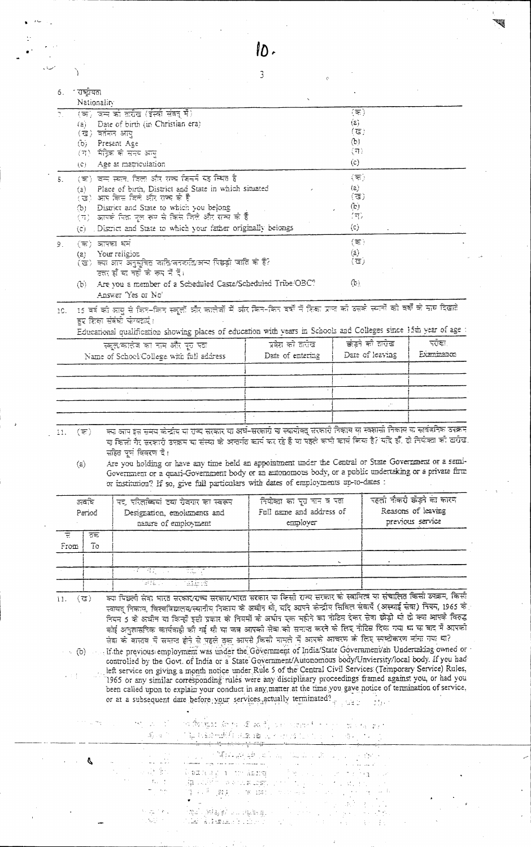| Nationality<br>$(\overline{\infty})$<br>(क) जन्म को तारीख (ईस्वी संवत् में)<br>(a)<br>Date of birth (in Christian era)<br>íāi i<br>$(\overline{\mathbf{G}})$<br>(ख) वर्तमन आयु<br>$\left( \mathbf{p}\right)$<br>(b) Present Age<br>(न)<br>(य)। मैट्रिक को सदय आयु<br>(c)<br>Age at matriculation<br>(C).<br>(क) जन्म स्थल, जिला और सन्च जित्तनें यह स्थित है<br>$(\overline{\pi})$<br>δ.<br>$\langle a \rangle$<br>Place of birth, District and State in which situated<br>(a) -<br>(ত)<br>(ख) आप किस मिले और राज्य के है<br>$\left(\mathbb{E}\right)$<br>District and State to which you belong<br>ිට -<br>(स)<br>(ग)। आपके पिता पूल रूप से किसे जिले और सन्ये के हैं<br>(C)<br>(c) District and State to which your father originally belongs<br>$(\overline{z})$<br>$(\overline{\pi})$ जापका धर्म<br>9.<br>$(\bar{z})$<br>(a) Your religion<br>$(\overline{u})$<br>(ভ) জ্য লয় জনুমূলির আরিজেরবারিজেন যিচ্ছা আরি কাই?<br>उत्तर हो या नहीं के रूप में दें।<br>Œ.,<br>Are you a member of a Scheduled Caste/Scheduled Tribe/OBC?<br>(b)<br>Answer Yes or No'<br>15 वर्ष की आयु से किन-किन स्कूलों और कालेकों में और किन-किन वर्षों में शिका प्राप्त को उसके स्थानों को वर्षों के साथ दिखाते<br>10.<br>हर शिक्षा संबंधी फेयदाएं।<br>Educational qualification showing places of education with years in Schools and Colleges since 15th year of age<br>क्वंडने को सर्रोड<br>नरोसा<br>प्रवेश को क्लोख<br>स्क्लाकालेब का नाम और पूरु पता<br>Date of leaving<br>Date of entering<br>Name of School/College with full address<br>क्या आप इस समय केन्द्रीय या राज्य सरकार या अर्थ-सरकारी या स्थायीक्तू सरकारी निकाय या स्क्शानी निकाय या सार्वजनिक उपक्रम<br>(হ)<br>11.<br>या किसी गैर सरकारी उपक्रम या संस्था के अन्तर्गत वार्य कर रहे हैं या पहले कभी कार्य किया है? यदि हाँ, से नियोका को सरोख,<br>सहित पूर्ण विवरण दें।<br>Are you holding or have any time held an appointment under the Central or State Government or a semi-<br>(z)<br>Government or a quasi-Government body or an autonomous body, or a public undertaking or a private firm<br>or institution? If so, give full particulars with dates of employments up-to-dates :<br>पहली नौक <mark>री क</mark> ेंड्ने की कारण<br>अवशि<br>नियोक्ता का पूरा नान व पता<br>पद, परितब्दियां तथा रोवगार का स्वरूप<br>Reasons of leaving<br>Full name and address of<br>Designation, emolentents and<br>Period<br>previous service<br>nature of employment<br>employer<br>त्रह<br>포<br>7 <sub>0</sub><br>From<br>作文のよう<br>राष्ट्रपति<br>sena ju<br>aliner<br>ञ्चा मिछली सेवा भारत सरकार⁄राज्य सरकार⁄भारत सरकार या किसी राज्य सरकार के स्वामित्व या संचालित किसी उपक्रम, किसी<br>(ত)<br>11.<br>स्वायत् निकाय, विश्वविद्यालय/स्यानीय निकाय के अधीन थी, यदि आएने केन्द्रीय सिविल सेवार्ये (अस्याई सेवा) नियम, 1965 के<br>नियम 5 के अधीन या किन्हों इसी प्रकार के नियमों के अर्धान एक महीने का नोटिस देकर सेवा छोड़ी थी दो क्या आपके विरुद्ध<br>कोई अनुशासनिक कार्यवाही की गई थी या जब आपको सेवा को समाज करने के लिए नोटिस दिया गया था या बाद में आपको<br>सेवा को वास्तव में समाज होने से पहले तक आपसे किसी मामले में आपको आचरण को लिए स्पष्टीकरण मांगा गया था?<br>If the previous employment was under the Government of India/State Government/an Undertaking owned or<br>$\cdot$ (b)<br>controlled by the Govt. of India or a State Government/Autonomous body/Unviersity/local body. If you had<br>left service on giving a month notice under Rule 5 of the Central Civil Services (Temporary Service) Rules,<br>1965 or any similar corresponding rules were any disciplinary proceedings framed against you, or had you<br>been called upon to explain your conduct in any matter at the time you gave notice of termination of service,<br>or at a subsequent date before your services actually terminated?<br>on the first deep of an incorrect to the most case.<br>i iş bazediki suzan içik eden bir bir bir etmesi.<br><del>Tarihi kuruluşu bir bir bir bir bir bir bir bir b</del><br>م العوام العالمي التي يتم التالي التي تكون المستقل التي يتم الأرباطي الأقوام الأقوام الأوراطي الأمريكي التي تر<br>التالي التي تم التي تراكب التي يتم التي تتم التي تتم التي تتم التي تتم المستقل التي تتم الأمر الموارد العقودة<br>P<br>눈 같이 많이<br>s Paragon transmos the same of the same<br>្ស <b>រិង្គ</b> នៅអីការស្រុក នោះ នោះ នោះ ការប្រទេស ស្រុក ស្រុក ស្រុក ស្រុក ស្រុក ស្រុក ស្រុក ស្រុក ស្រុក ស្រុក ស្រុក ស្រ<br>$\mathcal{T}_{\text{eff}} = \mathcal{T}_{\text{eff}}$<br>谋国语 螺形工具螺丝工艺物品 计同时设计 医恶性<br>்தமிட்சுரியும் முழுத்து பட்டு பட்டப்பட்டும்.<br>经过一个权 | 1 राष्ट्रीयता<br>6. |  |             |
|-----------------------------------------------------------------------------------------------------------------------------------------------------------------------------------------------------------------------------------------------------------------------------------------------------------------------------------------------------------------------------------------------------------------------------------------------------------------------------------------------------------------------------------------------------------------------------------------------------------------------------------------------------------------------------------------------------------------------------------------------------------------------------------------------------------------------------------------------------------------------------------------------------------------------------------------------------------------------------------------------------------------------------------------------------------------------------------------------------------------------------------------------------------------------------------------------------------------------------------------------------------------------------------------------------------------------------------------------------------------------------------------------------------------------------------------------------------------------------------------------------------------------------------------------------------------------------------------------------------------------------------------------------------------------------------------------------------------------------------------------------------------------------------------------------------------------------------------------------------------------------------------------------------------------------------------------------------------------------------------------------------------------------------------------------------------------------------------------------------------------------------------------------------------------------------------------------------------------------------------------------------------------------------------------------------------------------------------------------------------------------------------------------------------------------------------------------------------------------------------------------------------------------------------------------------------------------------------------------------------------------------------------------------------------------------------------------------------------------------------------------------------------------------------------------------------------------------------------------------------------------------------------------------------------------------------------------------------------------------------------------------------------------------------------------------------------------------------------------------------------------------------------------------------------------------------------------------------------------------------------------------------------------------------------------------------------------------------------------------------------------------------------------------------------------------------------------------------------------------------------------------------------------------------------------------------------------------------------------------------------------------------------------------------------------------------------------------------------------------------------------------------------------------------------------------------------------------------------------------------------------------------------------------------------------------------------------------------------------------------------------------------------------------------------------------------------------------------------------------------------------------------------------------------------------------------------------------------------------------------------------------------------------------------------------------------------------------------------------------------------------------------------------------------------------------------------------------------------------------------------------------------------|---------------------|--|-------------|
|                                                                                                                                                                                                                                                                                                                                                                                                                                                                                                                                                                                                                                                                                                                                                                                                                                                                                                                                                                                                                                                                                                                                                                                                                                                                                                                                                                                                                                                                                                                                                                                                                                                                                                                                                                                                                                                                                                                                                                                                                                                                                                                                                                                                                                                                                                                                                                                                                                                                                                                                                                                                                                                                                                                                                                                                                                                                                                                                                                                                                                                                                                                                                                                                                                                                                                                                                                                                                                                                                                                                                                                                                                                                                                                                                                                                                                                                                                                                                                                                                                                                                                                                                                                                                                                                                                                                                                                                                                                                                                                       |                     |  |             |
|                                                                                                                                                                                                                                                                                                                                                                                                                                                                                                                                                                                                                                                                                                                                                                                                                                                                                                                                                                                                                                                                                                                                                                                                                                                                                                                                                                                                                                                                                                                                                                                                                                                                                                                                                                                                                                                                                                                                                                                                                                                                                                                                                                                                                                                                                                                                                                                                                                                                                                                                                                                                                                                                                                                                                                                                                                                                                                                                                                                                                                                                                                                                                                                                                                                                                                                                                                                                                                                                                                                                                                                                                                                                                                                                                                                                                                                                                                                                                                                                                                                                                                                                                                                                                                                                                                                                                                                                                                                                                                                       |                     |  |             |
|                                                                                                                                                                                                                                                                                                                                                                                                                                                                                                                                                                                                                                                                                                                                                                                                                                                                                                                                                                                                                                                                                                                                                                                                                                                                                                                                                                                                                                                                                                                                                                                                                                                                                                                                                                                                                                                                                                                                                                                                                                                                                                                                                                                                                                                                                                                                                                                                                                                                                                                                                                                                                                                                                                                                                                                                                                                                                                                                                                                                                                                                                                                                                                                                                                                                                                                                                                                                                                                                                                                                                                                                                                                                                                                                                                                                                                                                                                                                                                                                                                                                                                                                                                                                                                                                                                                                                                                                                                                                                                                       |                     |  |             |
|                                                                                                                                                                                                                                                                                                                                                                                                                                                                                                                                                                                                                                                                                                                                                                                                                                                                                                                                                                                                                                                                                                                                                                                                                                                                                                                                                                                                                                                                                                                                                                                                                                                                                                                                                                                                                                                                                                                                                                                                                                                                                                                                                                                                                                                                                                                                                                                                                                                                                                                                                                                                                                                                                                                                                                                                                                                                                                                                                                                                                                                                                                                                                                                                                                                                                                                                                                                                                                                                                                                                                                                                                                                                                                                                                                                                                                                                                                                                                                                                                                                                                                                                                                                                                                                                                                                                                                                                                                                                                                                       |                     |  |             |
|                                                                                                                                                                                                                                                                                                                                                                                                                                                                                                                                                                                                                                                                                                                                                                                                                                                                                                                                                                                                                                                                                                                                                                                                                                                                                                                                                                                                                                                                                                                                                                                                                                                                                                                                                                                                                                                                                                                                                                                                                                                                                                                                                                                                                                                                                                                                                                                                                                                                                                                                                                                                                                                                                                                                                                                                                                                                                                                                                                                                                                                                                                                                                                                                                                                                                                                                                                                                                                                                                                                                                                                                                                                                                                                                                                                                                                                                                                                                                                                                                                                                                                                                                                                                                                                                                                                                                                                                                                                                                                                       |                     |  |             |
|                                                                                                                                                                                                                                                                                                                                                                                                                                                                                                                                                                                                                                                                                                                                                                                                                                                                                                                                                                                                                                                                                                                                                                                                                                                                                                                                                                                                                                                                                                                                                                                                                                                                                                                                                                                                                                                                                                                                                                                                                                                                                                                                                                                                                                                                                                                                                                                                                                                                                                                                                                                                                                                                                                                                                                                                                                                                                                                                                                                                                                                                                                                                                                                                                                                                                                                                                                                                                                                                                                                                                                                                                                                                                                                                                                                                                                                                                                                                                                                                                                                                                                                                                                                                                                                                                                                                                                                                                                                                                                                       |                     |  |             |
|                                                                                                                                                                                                                                                                                                                                                                                                                                                                                                                                                                                                                                                                                                                                                                                                                                                                                                                                                                                                                                                                                                                                                                                                                                                                                                                                                                                                                                                                                                                                                                                                                                                                                                                                                                                                                                                                                                                                                                                                                                                                                                                                                                                                                                                                                                                                                                                                                                                                                                                                                                                                                                                                                                                                                                                                                                                                                                                                                                                                                                                                                                                                                                                                                                                                                                                                                                                                                                                                                                                                                                                                                                                                                                                                                                                                                                                                                                                                                                                                                                                                                                                                                                                                                                                                                                                                                                                                                                                                                                                       |                     |  |             |
|                                                                                                                                                                                                                                                                                                                                                                                                                                                                                                                                                                                                                                                                                                                                                                                                                                                                                                                                                                                                                                                                                                                                                                                                                                                                                                                                                                                                                                                                                                                                                                                                                                                                                                                                                                                                                                                                                                                                                                                                                                                                                                                                                                                                                                                                                                                                                                                                                                                                                                                                                                                                                                                                                                                                                                                                                                                                                                                                                                                                                                                                                                                                                                                                                                                                                                                                                                                                                                                                                                                                                                                                                                                                                                                                                                                                                                                                                                                                                                                                                                                                                                                                                                                                                                                                                                                                                                                                                                                                                                                       |                     |  |             |
|                                                                                                                                                                                                                                                                                                                                                                                                                                                                                                                                                                                                                                                                                                                                                                                                                                                                                                                                                                                                                                                                                                                                                                                                                                                                                                                                                                                                                                                                                                                                                                                                                                                                                                                                                                                                                                                                                                                                                                                                                                                                                                                                                                                                                                                                                                                                                                                                                                                                                                                                                                                                                                                                                                                                                                                                                                                                                                                                                                                                                                                                                                                                                                                                                                                                                                                                                                                                                                                                                                                                                                                                                                                                                                                                                                                                                                                                                                                                                                                                                                                                                                                                                                                                                                                                                                                                                                                                                                                                                                                       |                     |  |             |
|                                                                                                                                                                                                                                                                                                                                                                                                                                                                                                                                                                                                                                                                                                                                                                                                                                                                                                                                                                                                                                                                                                                                                                                                                                                                                                                                                                                                                                                                                                                                                                                                                                                                                                                                                                                                                                                                                                                                                                                                                                                                                                                                                                                                                                                                                                                                                                                                                                                                                                                                                                                                                                                                                                                                                                                                                                                                                                                                                                                                                                                                                                                                                                                                                                                                                                                                                                                                                                                                                                                                                                                                                                                                                                                                                                                                                                                                                                                                                                                                                                                                                                                                                                                                                                                                                                                                                                                                                                                                                                                       |                     |  |             |
|                                                                                                                                                                                                                                                                                                                                                                                                                                                                                                                                                                                                                                                                                                                                                                                                                                                                                                                                                                                                                                                                                                                                                                                                                                                                                                                                                                                                                                                                                                                                                                                                                                                                                                                                                                                                                                                                                                                                                                                                                                                                                                                                                                                                                                                                                                                                                                                                                                                                                                                                                                                                                                                                                                                                                                                                                                                                                                                                                                                                                                                                                                                                                                                                                                                                                                                                                                                                                                                                                                                                                                                                                                                                                                                                                                                                                                                                                                                                                                                                                                                                                                                                                                                                                                                                                                                                                                                                                                                                                                                       |                     |  |             |
|                                                                                                                                                                                                                                                                                                                                                                                                                                                                                                                                                                                                                                                                                                                                                                                                                                                                                                                                                                                                                                                                                                                                                                                                                                                                                                                                                                                                                                                                                                                                                                                                                                                                                                                                                                                                                                                                                                                                                                                                                                                                                                                                                                                                                                                                                                                                                                                                                                                                                                                                                                                                                                                                                                                                                                                                                                                                                                                                                                                                                                                                                                                                                                                                                                                                                                                                                                                                                                                                                                                                                                                                                                                                                                                                                                                                                                                                                                                                                                                                                                                                                                                                                                                                                                                                                                                                                                                                                                                                                                                       |                     |  |             |
|                                                                                                                                                                                                                                                                                                                                                                                                                                                                                                                                                                                                                                                                                                                                                                                                                                                                                                                                                                                                                                                                                                                                                                                                                                                                                                                                                                                                                                                                                                                                                                                                                                                                                                                                                                                                                                                                                                                                                                                                                                                                                                                                                                                                                                                                                                                                                                                                                                                                                                                                                                                                                                                                                                                                                                                                                                                                                                                                                                                                                                                                                                                                                                                                                                                                                                                                                                                                                                                                                                                                                                                                                                                                                                                                                                                                                                                                                                                                                                                                                                                                                                                                                                                                                                                                                                                                                                                                                                                                                                                       |                     |  |             |
|                                                                                                                                                                                                                                                                                                                                                                                                                                                                                                                                                                                                                                                                                                                                                                                                                                                                                                                                                                                                                                                                                                                                                                                                                                                                                                                                                                                                                                                                                                                                                                                                                                                                                                                                                                                                                                                                                                                                                                                                                                                                                                                                                                                                                                                                                                                                                                                                                                                                                                                                                                                                                                                                                                                                                                                                                                                                                                                                                                                                                                                                                                                                                                                                                                                                                                                                                                                                                                                                                                                                                                                                                                                                                                                                                                                                                                                                                                                                                                                                                                                                                                                                                                                                                                                                                                                                                                                                                                                                                                                       |                     |  |             |
|                                                                                                                                                                                                                                                                                                                                                                                                                                                                                                                                                                                                                                                                                                                                                                                                                                                                                                                                                                                                                                                                                                                                                                                                                                                                                                                                                                                                                                                                                                                                                                                                                                                                                                                                                                                                                                                                                                                                                                                                                                                                                                                                                                                                                                                                                                                                                                                                                                                                                                                                                                                                                                                                                                                                                                                                                                                                                                                                                                                                                                                                                                                                                                                                                                                                                                                                                                                                                                                                                                                                                                                                                                                                                                                                                                                                                                                                                                                                                                                                                                                                                                                                                                                                                                                                                                                                                                                                                                                                                                                       |                     |  |             |
|                                                                                                                                                                                                                                                                                                                                                                                                                                                                                                                                                                                                                                                                                                                                                                                                                                                                                                                                                                                                                                                                                                                                                                                                                                                                                                                                                                                                                                                                                                                                                                                                                                                                                                                                                                                                                                                                                                                                                                                                                                                                                                                                                                                                                                                                                                                                                                                                                                                                                                                                                                                                                                                                                                                                                                                                                                                                                                                                                                                                                                                                                                                                                                                                                                                                                                                                                                                                                                                                                                                                                                                                                                                                                                                                                                                                                                                                                                                                                                                                                                                                                                                                                                                                                                                                                                                                                                                                                                                                                                                       |                     |  |             |
|                                                                                                                                                                                                                                                                                                                                                                                                                                                                                                                                                                                                                                                                                                                                                                                                                                                                                                                                                                                                                                                                                                                                                                                                                                                                                                                                                                                                                                                                                                                                                                                                                                                                                                                                                                                                                                                                                                                                                                                                                                                                                                                                                                                                                                                                                                                                                                                                                                                                                                                                                                                                                                                                                                                                                                                                                                                                                                                                                                                                                                                                                                                                                                                                                                                                                                                                                                                                                                                                                                                                                                                                                                                                                                                                                                                                                                                                                                                                                                                                                                                                                                                                                                                                                                                                                                                                                                                                                                                                                                                       |                     |  |             |
|                                                                                                                                                                                                                                                                                                                                                                                                                                                                                                                                                                                                                                                                                                                                                                                                                                                                                                                                                                                                                                                                                                                                                                                                                                                                                                                                                                                                                                                                                                                                                                                                                                                                                                                                                                                                                                                                                                                                                                                                                                                                                                                                                                                                                                                                                                                                                                                                                                                                                                                                                                                                                                                                                                                                                                                                                                                                                                                                                                                                                                                                                                                                                                                                                                                                                                                                                                                                                                                                                                                                                                                                                                                                                                                                                                                                                                                                                                                                                                                                                                                                                                                                                                                                                                                                                                                                                                                                                                                                                                                       |                     |  |             |
|                                                                                                                                                                                                                                                                                                                                                                                                                                                                                                                                                                                                                                                                                                                                                                                                                                                                                                                                                                                                                                                                                                                                                                                                                                                                                                                                                                                                                                                                                                                                                                                                                                                                                                                                                                                                                                                                                                                                                                                                                                                                                                                                                                                                                                                                                                                                                                                                                                                                                                                                                                                                                                                                                                                                                                                                                                                                                                                                                                                                                                                                                                                                                                                                                                                                                                                                                                                                                                                                                                                                                                                                                                                                                                                                                                                                                                                                                                                                                                                                                                                                                                                                                                                                                                                                                                                                                                                                                                                                                                                       |                     |  |             |
|                                                                                                                                                                                                                                                                                                                                                                                                                                                                                                                                                                                                                                                                                                                                                                                                                                                                                                                                                                                                                                                                                                                                                                                                                                                                                                                                                                                                                                                                                                                                                                                                                                                                                                                                                                                                                                                                                                                                                                                                                                                                                                                                                                                                                                                                                                                                                                                                                                                                                                                                                                                                                                                                                                                                                                                                                                                                                                                                                                                                                                                                                                                                                                                                                                                                                                                                                                                                                                                                                                                                                                                                                                                                                                                                                                                                                                                                                                                                                                                                                                                                                                                                                                                                                                                                                                                                                                                                                                                                                                                       |                     |  |             |
|                                                                                                                                                                                                                                                                                                                                                                                                                                                                                                                                                                                                                                                                                                                                                                                                                                                                                                                                                                                                                                                                                                                                                                                                                                                                                                                                                                                                                                                                                                                                                                                                                                                                                                                                                                                                                                                                                                                                                                                                                                                                                                                                                                                                                                                                                                                                                                                                                                                                                                                                                                                                                                                                                                                                                                                                                                                                                                                                                                                                                                                                                                                                                                                                                                                                                                                                                                                                                                                                                                                                                                                                                                                                                                                                                                                                                                                                                                                                                                                                                                                                                                                                                                                                                                                                                                                                                                                                                                                                                                                       |                     |  |             |
|                                                                                                                                                                                                                                                                                                                                                                                                                                                                                                                                                                                                                                                                                                                                                                                                                                                                                                                                                                                                                                                                                                                                                                                                                                                                                                                                                                                                                                                                                                                                                                                                                                                                                                                                                                                                                                                                                                                                                                                                                                                                                                                                                                                                                                                                                                                                                                                                                                                                                                                                                                                                                                                                                                                                                                                                                                                                                                                                                                                                                                                                                                                                                                                                                                                                                                                                                                                                                                                                                                                                                                                                                                                                                                                                                                                                                                                                                                                                                                                                                                                                                                                                                                                                                                                                                                                                                                                                                                                                                                                       |                     |  | Examination |
|                                                                                                                                                                                                                                                                                                                                                                                                                                                                                                                                                                                                                                                                                                                                                                                                                                                                                                                                                                                                                                                                                                                                                                                                                                                                                                                                                                                                                                                                                                                                                                                                                                                                                                                                                                                                                                                                                                                                                                                                                                                                                                                                                                                                                                                                                                                                                                                                                                                                                                                                                                                                                                                                                                                                                                                                                                                                                                                                                                                                                                                                                                                                                                                                                                                                                                                                                                                                                                                                                                                                                                                                                                                                                                                                                                                                                                                                                                                                                                                                                                                                                                                                                                                                                                                                                                                                                                                                                                                                                                                       |                     |  |             |
|                                                                                                                                                                                                                                                                                                                                                                                                                                                                                                                                                                                                                                                                                                                                                                                                                                                                                                                                                                                                                                                                                                                                                                                                                                                                                                                                                                                                                                                                                                                                                                                                                                                                                                                                                                                                                                                                                                                                                                                                                                                                                                                                                                                                                                                                                                                                                                                                                                                                                                                                                                                                                                                                                                                                                                                                                                                                                                                                                                                                                                                                                                                                                                                                                                                                                                                                                                                                                                                                                                                                                                                                                                                                                                                                                                                                                                                                                                                                                                                                                                                                                                                                                                                                                                                                                                                                                                                                                                                                                                                       |                     |  |             |
|                                                                                                                                                                                                                                                                                                                                                                                                                                                                                                                                                                                                                                                                                                                                                                                                                                                                                                                                                                                                                                                                                                                                                                                                                                                                                                                                                                                                                                                                                                                                                                                                                                                                                                                                                                                                                                                                                                                                                                                                                                                                                                                                                                                                                                                                                                                                                                                                                                                                                                                                                                                                                                                                                                                                                                                                                                                                                                                                                                                                                                                                                                                                                                                                                                                                                                                                                                                                                                                                                                                                                                                                                                                                                                                                                                                                                                                                                                                                                                                                                                                                                                                                                                                                                                                                                                                                                                                                                                                                                                                       |                     |  |             |
|                                                                                                                                                                                                                                                                                                                                                                                                                                                                                                                                                                                                                                                                                                                                                                                                                                                                                                                                                                                                                                                                                                                                                                                                                                                                                                                                                                                                                                                                                                                                                                                                                                                                                                                                                                                                                                                                                                                                                                                                                                                                                                                                                                                                                                                                                                                                                                                                                                                                                                                                                                                                                                                                                                                                                                                                                                                                                                                                                                                                                                                                                                                                                                                                                                                                                                                                                                                                                                                                                                                                                                                                                                                                                                                                                                                                                                                                                                                                                                                                                                                                                                                                                                                                                                                                                                                                                                                                                                                                                                                       |                     |  |             |
|                                                                                                                                                                                                                                                                                                                                                                                                                                                                                                                                                                                                                                                                                                                                                                                                                                                                                                                                                                                                                                                                                                                                                                                                                                                                                                                                                                                                                                                                                                                                                                                                                                                                                                                                                                                                                                                                                                                                                                                                                                                                                                                                                                                                                                                                                                                                                                                                                                                                                                                                                                                                                                                                                                                                                                                                                                                                                                                                                                                                                                                                                                                                                                                                                                                                                                                                                                                                                                                                                                                                                                                                                                                                                                                                                                                                                                                                                                                                                                                                                                                                                                                                                                                                                                                                                                                                                                                                                                                                                                                       |                     |  |             |
|                                                                                                                                                                                                                                                                                                                                                                                                                                                                                                                                                                                                                                                                                                                                                                                                                                                                                                                                                                                                                                                                                                                                                                                                                                                                                                                                                                                                                                                                                                                                                                                                                                                                                                                                                                                                                                                                                                                                                                                                                                                                                                                                                                                                                                                                                                                                                                                                                                                                                                                                                                                                                                                                                                                                                                                                                                                                                                                                                                                                                                                                                                                                                                                                                                                                                                                                                                                                                                                                                                                                                                                                                                                                                                                                                                                                                                                                                                                                                                                                                                                                                                                                                                                                                                                                                                                                                                                                                                                                                                                       |                     |  |             |
|                                                                                                                                                                                                                                                                                                                                                                                                                                                                                                                                                                                                                                                                                                                                                                                                                                                                                                                                                                                                                                                                                                                                                                                                                                                                                                                                                                                                                                                                                                                                                                                                                                                                                                                                                                                                                                                                                                                                                                                                                                                                                                                                                                                                                                                                                                                                                                                                                                                                                                                                                                                                                                                                                                                                                                                                                                                                                                                                                                                                                                                                                                                                                                                                                                                                                                                                                                                                                                                                                                                                                                                                                                                                                                                                                                                                                                                                                                                                                                                                                                                                                                                                                                                                                                                                                                                                                                                                                                                                                                                       |                     |  |             |
|                                                                                                                                                                                                                                                                                                                                                                                                                                                                                                                                                                                                                                                                                                                                                                                                                                                                                                                                                                                                                                                                                                                                                                                                                                                                                                                                                                                                                                                                                                                                                                                                                                                                                                                                                                                                                                                                                                                                                                                                                                                                                                                                                                                                                                                                                                                                                                                                                                                                                                                                                                                                                                                                                                                                                                                                                                                                                                                                                                                                                                                                                                                                                                                                                                                                                                                                                                                                                                                                                                                                                                                                                                                                                                                                                                                                                                                                                                                                                                                                                                                                                                                                                                                                                                                                                                                                                                                                                                                                                                                       |                     |  |             |
|                                                                                                                                                                                                                                                                                                                                                                                                                                                                                                                                                                                                                                                                                                                                                                                                                                                                                                                                                                                                                                                                                                                                                                                                                                                                                                                                                                                                                                                                                                                                                                                                                                                                                                                                                                                                                                                                                                                                                                                                                                                                                                                                                                                                                                                                                                                                                                                                                                                                                                                                                                                                                                                                                                                                                                                                                                                                                                                                                                                                                                                                                                                                                                                                                                                                                                                                                                                                                                                                                                                                                                                                                                                                                                                                                                                                                                                                                                                                                                                                                                                                                                                                                                                                                                                                                                                                                                                                                                                                                                                       |                     |  |             |
|                                                                                                                                                                                                                                                                                                                                                                                                                                                                                                                                                                                                                                                                                                                                                                                                                                                                                                                                                                                                                                                                                                                                                                                                                                                                                                                                                                                                                                                                                                                                                                                                                                                                                                                                                                                                                                                                                                                                                                                                                                                                                                                                                                                                                                                                                                                                                                                                                                                                                                                                                                                                                                                                                                                                                                                                                                                                                                                                                                                                                                                                                                                                                                                                                                                                                                                                                                                                                                                                                                                                                                                                                                                                                                                                                                                                                                                                                                                                                                                                                                                                                                                                                                                                                                                                                                                                                                                                                                                                                                                       |                     |  |             |
|                                                                                                                                                                                                                                                                                                                                                                                                                                                                                                                                                                                                                                                                                                                                                                                                                                                                                                                                                                                                                                                                                                                                                                                                                                                                                                                                                                                                                                                                                                                                                                                                                                                                                                                                                                                                                                                                                                                                                                                                                                                                                                                                                                                                                                                                                                                                                                                                                                                                                                                                                                                                                                                                                                                                                                                                                                                                                                                                                                                                                                                                                                                                                                                                                                                                                                                                                                                                                                                                                                                                                                                                                                                                                                                                                                                                                                                                                                                                                                                                                                                                                                                                                                                                                                                                                                                                                                                                                                                                                                                       |                     |  |             |
|                                                                                                                                                                                                                                                                                                                                                                                                                                                                                                                                                                                                                                                                                                                                                                                                                                                                                                                                                                                                                                                                                                                                                                                                                                                                                                                                                                                                                                                                                                                                                                                                                                                                                                                                                                                                                                                                                                                                                                                                                                                                                                                                                                                                                                                                                                                                                                                                                                                                                                                                                                                                                                                                                                                                                                                                                                                                                                                                                                                                                                                                                                                                                                                                                                                                                                                                                                                                                                                                                                                                                                                                                                                                                                                                                                                                                                                                                                                                                                                                                                                                                                                                                                                                                                                                                                                                                                                                                                                                                                                       |                     |  |             |
|                                                                                                                                                                                                                                                                                                                                                                                                                                                                                                                                                                                                                                                                                                                                                                                                                                                                                                                                                                                                                                                                                                                                                                                                                                                                                                                                                                                                                                                                                                                                                                                                                                                                                                                                                                                                                                                                                                                                                                                                                                                                                                                                                                                                                                                                                                                                                                                                                                                                                                                                                                                                                                                                                                                                                                                                                                                                                                                                                                                                                                                                                                                                                                                                                                                                                                                                                                                                                                                                                                                                                                                                                                                                                                                                                                                                                                                                                                                                                                                                                                                                                                                                                                                                                                                                                                                                                                                                                                                                                                                       |                     |  |             |
|                                                                                                                                                                                                                                                                                                                                                                                                                                                                                                                                                                                                                                                                                                                                                                                                                                                                                                                                                                                                                                                                                                                                                                                                                                                                                                                                                                                                                                                                                                                                                                                                                                                                                                                                                                                                                                                                                                                                                                                                                                                                                                                                                                                                                                                                                                                                                                                                                                                                                                                                                                                                                                                                                                                                                                                                                                                                                                                                                                                                                                                                                                                                                                                                                                                                                                                                                                                                                                                                                                                                                                                                                                                                                                                                                                                                                                                                                                                                                                                                                                                                                                                                                                                                                                                                                                                                                                                                                                                                                                                       |                     |  |             |
|                                                                                                                                                                                                                                                                                                                                                                                                                                                                                                                                                                                                                                                                                                                                                                                                                                                                                                                                                                                                                                                                                                                                                                                                                                                                                                                                                                                                                                                                                                                                                                                                                                                                                                                                                                                                                                                                                                                                                                                                                                                                                                                                                                                                                                                                                                                                                                                                                                                                                                                                                                                                                                                                                                                                                                                                                                                                                                                                                                                                                                                                                                                                                                                                                                                                                                                                                                                                                                                                                                                                                                                                                                                                                                                                                                                                                                                                                                                                                                                                                                                                                                                                                                                                                                                                                                                                                                                                                                                                                                                       |                     |  |             |
|                                                                                                                                                                                                                                                                                                                                                                                                                                                                                                                                                                                                                                                                                                                                                                                                                                                                                                                                                                                                                                                                                                                                                                                                                                                                                                                                                                                                                                                                                                                                                                                                                                                                                                                                                                                                                                                                                                                                                                                                                                                                                                                                                                                                                                                                                                                                                                                                                                                                                                                                                                                                                                                                                                                                                                                                                                                                                                                                                                                                                                                                                                                                                                                                                                                                                                                                                                                                                                                                                                                                                                                                                                                                                                                                                                                                                                                                                                                                                                                                                                                                                                                                                                                                                                                                                                                                                                                                                                                                                                                       |                     |  |             |
|                                                                                                                                                                                                                                                                                                                                                                                                                                                                                                                                                                                                                                                                                                                                                                                                                                                                                                                                                                                                                                                                                                                                                                                                                                                                                                                                                                                                                                                                                                                                                                                                                                                                                                                                                                                                                                                                                                                                                                                                                                                                                                                                                                                                                                                                                                                                                                                                                                                                                                                                                                                                                                                                                                                                                                                                                                                                                                                                                                                                                                                                                                                                                                                                                                                                                                                                                                                                                                                                                                                                                                                                                                                                                                                                                                                                                                                                                                                                                                                                                                                                                                                                                                                                                                                                                                                                                                                                                                                                                                                       |                     |  |             |
|                                                                                                                                                                                                                                                                                                                                                                                                                                                                                                                                                                                                                                                                                                                                                                                                                                                                                                                                                                                                                                                                                                                                                                                                                                                                                                                                                                                                                                                                                                                                                                                                                                                                                                                                                                                                                                                                                                                                                                                                                                                                                                                                                                                                                                                                                                                                                                                                                                                                                                                                                                                                                                                                                                                                                                                                                                                                                                                                                                                                                                                                                                                                                                                                                                                                                                                                                                                                                                                                                                                                                                                                                                                                                                                                                                                                                                                                                                                                                                                                                                                                                                                                                                                                                                                                                                                                                                                                                                                                                                                       |                     |  |             |
|                                                                                                                                                                                                                                                                                                                                                                                                                                                                                                                                                                                                                                                                                                                                                                                                                                                                                                                                                                                                                                                                                                                                                                                                                                                                                                                                                                                                                                                                                                                                                                                                                                                                                                                                                                                                                                                                                                                                                                                                                                                                                                                                                                                                                                                                                                                                                                                                                                                                                                                                                                                                                                                                                                                                                                                                                                                                                                                                                                                                                                                                                                                                                                                                                                                                                                                                                                                                                                                                                                                                                                                                                                                                                                                                                                                                                                                                                                                                                                                                                                                                                                                                                                                                                                                                                                                                                                                                                                                                                                                       |                     |  |             |
|                                                                                                                                                                                                                                                                                                                                                                                                                                                                                                                                                                                                                                                                                                                                                                                                                                                                                                                                                                                                                                                                                                                                                                                                                                                                                                                                                                                                                                                                                                                                                                                                                                                                                                                                                                                                                                                                                                                                                                                                                                                                                                                                                                                                                                                                                                                                                                                                                                                                                                                                                                                                                                                                                                                                                                                                                                                                                                                                                                                                                                                                                                                                                                                                                                                                                                                                                                                                                                                                                                                                                                                                                                                                                                                                                                                                                                                                                                                                                                                                                                                                                                                                                                                                                                                                                                                                                                                                                                                                                                                       |                     |  |             |
|                                                                                                                                                                                                                                                                                                                                                                                                                                                                                                                                                                                                                                                                                                                                                                                                                                                                                                                                                                                                                                                                                                                                                                                                                                                                                                                                                                                                                                                                                                                                                                                                                                                                                                                                                                                                                                                                                                                                                                                                                                                                                                                                                                                                                                                                                                                                                                                                                                                                                                                                                                                                                                                                                                                                                                                                                                                                                                                                                                                                                                                                                                                                                                                                                                                                                                                                                                                                                                                                                                                                                                                                                                                                                                                                                                                                                                                                                                                                                                                                                                                                                                                                                                                                                                                                                                                                                                                                                                                                                                                       |                     |  |             |
|                                                                                                                                                                                                                                                                                                                                                                                                                                                                                                                                                                                                                                                                                                                                                                                                                                                                                                                                                                                                                                                                                                                                                                                                                                                                                                                                                                                                                                                                                                                                                                                                                                                                                                                                                                                                                                                                                                                                                                                                                                                                                                                                                                                                                                                                                                                                                                                                                                                                                                                                                                                                                                                                                                                                                                                                                                                                                                                                                                                                                                                                                                                                                                                                                                                                                                                                                                                                                                                                                                                                                                                                                                                                                                                                                                                                                                                                                                                                                                                                                                                                                                                                                                                                                                                                                                                                                                                                                                                                                                                       |                     |  |             |
|                                                                                                                                                                                                                                                                                                                                                                                                                                                                                                                                                                                                                                                                                                                                                                                                                                                                                                                                                                                                                                                                                                                                                                                                                                                                                                                                                                                                                                                                                                                                                                                                                                                                                                                                                                                                                                                                                                                                                                                                                                                                                                                                                                                                                                                                                                                                                                                                                                                                                                                                                                                                                                                                                                                                                                                                                                                                                                                                                                                                                                                                                                                                                                                                                                                                                                                                                                                                                                                                                                                                                                                                                                                                                                                                                                                                                                                                                                                                                                                                                                                                                                                                                                                                                                                                                                                                                                                                                                                                                                                       |                     |  |             |
|                                                                                                                                                                                                                                                                                                                                                                                                                                                                                                                                                                                                                                                                                                                                                                                                                                                                                                                                                                                                                                                                                                                                                                                                                                                                                                                                                                                                                                                                                                                                                                                                                                                                                                                                                                                                                                                                                                                                                                                                                                                                                                                                                                                                                                                                                                                                                                                                                                                                                                                                                                                                                                                                                                                                                                                                                                                                                                                                                                                                                                                                                                                                                                                                                                                                                                                                                                                                                                                                                                                                                                                                                                                                                                                                                                                                                                                                                                                                                                                                                                                                                                                                                                                                                                                                                                                                                                                                                                                                                                                       |                     |  |             |
|                                                                                                                                                                                                                                                                                                                                                                                                                                                                                                                                                                                                                                                                                                                                                                                                                                                                                                                                                                                                                                                                                                                                                                                                                                                                                                                                                                                                                                                                                                                                                                                                                                                                                                                                                                                                                                                                                                                                                                                                                                                                                                                                                                                                                                                                                                                                                                                                                                                                                                                                                                                                                                                                                                                                                                                                                                                                                                                                                                                                                                                                                                                                                                                                                                                                                                                                                                                                                                                                                                                                                                                                                                                                                                                                                                                                                                                                                                                                                                                                                                                                                                                                                                                                                                                                                                                                                                                                                                                                                                                       |                     |  |             |
|                                                                                                                                                                                                                                                                                                                                                                                                                                                                                                                                                                                                                                                                                                                                                                                                                                                                                                                                                                                                                                                                                                                                                                                                                                                                                                                                                                                                                                                                                                                                                                                                                                                                                                                                                                                                                                                                                                                                                                                                                                                                                                                                                                                                                                                                                                                                                                                                                                                                                                                                                                                                                                                                                                                                                                                                                                                                                                                                                                                                                                                                                                                                                                                                                                                                                                                                                                                                                                                                                                                                                                                                                                                                                                                                                                                                                                                                                                                                                                                                                                                                                                                                                                                                                                                                                                                                                                                                                                                                                                                       |                     |  |             |
|                                                                                                                                                                                                                                                                                                                                                                                                                                                                                                                                                                                                                                                                                                                                                                                                                                                                                                                                                                                                                                                                                                                                                                                                                                                                                                                                                                                                                                                                                                                                                                                                                                                                                                                                                                                                                                                                                                                                                                                                                                                                                                                                                                                                                                                                                                                                                                                                                                                                                                                                                                                                                                                                                                                                                                                                                                                                                                                                                                                                                                                                                                                                                                                                                                                                                                                                                                                                                                                                                                                                                                                                                                                                                                                                                                                                                                                                                                                                                                                                                                                                                                                                                                                                                                                                                                                                                                                                                                                                                                                       |                     |  |             |
|                                                                                                                                                                                                                                                                                                                                                                                                                                                                                                                                                                                                                                                                                                                                                                                                                                                                                                                                                                                                                                                                                                                                                                                                                                                                                                                                                                                                                                                                                                                                                                                                                                                                                                                                                                                                                                                                                                                                                                                                                                                                                                                                                                                                                                                                                                                                                                                                                                                                                                                                                                                                                                                                                                                                                                                                                                                                                                                                                                                                                                                                                                                                                                                                                                                                                                                                                                                                                                                                                                                                                                                                                                                                                                                                                                                                                                                                                                                                                                                                                                                                                                                                                                                                                                                                                                                                                                                                                                                                                                                       |                     |  |             |
| $\mathcal{L}(\mathbb{R}^n)$ .                                                                                                                                                                                                                                                                                                                                                                                                                                                                                                                                                                                                                                                                                                                                                                                                                                                                                                                                                                                                                                                                                                                                                                                                                                                                                                                                                                                                                                                                                                                                                                                                                                                                                                                                                                                                                                                                                                                                                                                                                                                                                                                                                                                                                                                                                                                                                                                                                                                                                                                                                                                                                                                                                                                                                                                                                                                                                                                                                                                                                                                                                                                                                                                                                                                                                                                                                                                                                                                                                                                                                                                                                                                                                                                                                                                                                                                                                                                                                                                                                                                                                                                                                                                                                                                                                                                                                                                                                                                                                         |                     |  |             |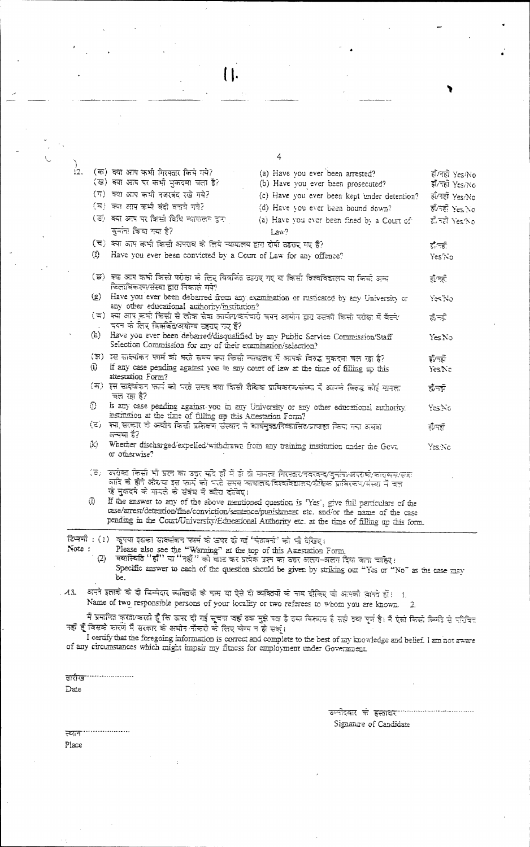$\begin{array}{c} \begin{array}{c} \hline \end{array} \end{array}$ 

|              |                                                                                                                                                     | 4                                                                                                                                                                                                                                                                                            |                                    |
|--------------|-----------------------------------------------------------------------------------------------------------------------------------------------------|----------------------------------------------------------------------------------------------------------------------------------------------------------------------------------------------------------------------------------------------------------------------------------------------|------------------------------------|
|              | )<br>12.    (क) क्या आप कभी गिरफ्तार किये गये?<br>(ख) क्या आप पर कभी मुकदमा चला है?<br>(ग) क्या आप कभी नजरबंद रखे गये?                              | (a) Have you ever been arrested?<br>(b) Have you ever been prosecuted?                                                                                                                                                                                                                       | हाँ/नहीं Yes/No<br>हाँ/नहीं Yes/No |
|              | (घ) क्या आप कभी बंदी वनाये गये?                                                                                                                     | (c) Have you ever been kept under detention?                                                                                                                                                                                                                                                 | हाँ/नहीं Yes/No                    |
|              | (ङ) क्या अप पर किसी विधि न्यायलय द्वारा                                                                                                             | (d) Have you ever been bound down?                                                                                                                                                                                                                                                           | ৰ্ক'নৱী Yes No                     |
|              |                                                                                                                                                     | (a) Have you ever been fined by a Court of                                                                                                                                                                                                                                                   | हाँ रही Yes No                     |
|              | जुर्नान किया गया है?                                                                                                                                | Law?                                                                                                                                                                                                                                                                                         |                                    |
|              | (च) क्या आप कभी किसी अपसब के लिये स्थयत्व द्वारा दोषी ठहराए गए हैं?                                                                                 |                                                                                                                                                                                                                                                                                              | होन्ही                             |
|              | (f) Have you ever been convicted by a Court of Law for any offence?                                                                                 |                                                                                                                                                                                                                                                                                              | Yes No                             |
|              | (छ) क्या आप कभी किसी परीक्षा के लिए विवर्जित उहपुर गए या किसी विश्वविद्यालय या किसी अन्य<br>निलाधिकरण/संस्था द्वारा निकाले गये?                     |                                                                                                                                                                                                                                                                                              | हों/नहीं                           |
|              | any other educational authority/institution?                                                                                                        | (g) Have you ever been debarred from any examination or rusticated by any University or                                                                                                                                                                                                      | YesNo                              |
|              | ( न) ज्या आप कभी किसी से लोक सेवा आयोग/कर्मचारी चगम आयोग द्वारा उसकी किसी परीक्षा में बैटने/<br>चयन के लिए विक्रविद/अयोग्य टहराए गए हैं?            |                                                                                                                                                                                                                                                                                              | हौन्ही                             |
|              | (h) Have you ever been debarred/disqualified by any Public Service Commission/Staff<br>Selection Commission for any of their examination/selection? |                                                                                                                                                                                                                                                                                              | YesNo                              |
|              | (झ) इस साक्ष्योंकर फार्म को भरते समय क्या किसी न्यायालय में आपके विरुद्ध मुकदमा चल रहा है?                                                          |                                                                                                                                                                                                                                                                                              | इंग्लि                             |
| $\odot$      | If any case pending against you in any court of law at the time of filling up this<br>attestation Form?                                             |                                                                                                                                                                                                                                                                                              | YesiNo                             |
|              | चल रहा है?                                                                                                                                          | (क) इस सादयोंकन फार्म को भरते समय क्या किसी शैकिक प्रायिकरण/संस्था में आपके किस्द्ध कोई मानता                                                                                                                                                                                                | होनही                              |
| $\odot$      | institution at the time of filling up this Attestation Form?                                                                                        | is any case pending against you in any University or any other educational authority.                                                                                                                                                                                                        | YesiNo                             |
|              | (ट) ज्या सत्कार के अर्थात किसी प्रशिक्षण संस्थात से कार्यमुक्यनिष्कासित/प्रत्यास्त किया गया अयवा<br>अच्छा है?                                       |                                                                                                                                                                                                                                                                                              | होँ/मही                            |
|              | (k) Whether discharged/expelled/withdrawn from any training institution under the Govt.<br>or otherwise?                                            |                                                                                                                                                                                                                                                                                              | Yes No                             |
|              | रहे मुकदमे को मामले को संबंध में ब्याँरा दीजिए।                                                                                                     | (ठ)। उपग्रेक्त किसी भी प्रसा का उच्च सदि हाँ में हो वो मानला गिरफ्ता∨तवरवन्द∕कुर्नान⊬अपराको/कारावास/सक<br>आदि वो होने और⁄या इस फार्म को भरते समय न्यायालय/विश्वविद्यालय/शैक्षिक प्राधिरकण/संस्था में बल                                                                                      |                                    |
| Ф.           |                                                                                                                                                     | If the answer to any of the above mentioned question is 'Yes', give full particulars of the<br>case/arrest/detention/fine/conviction/sentence/punishment etc. and/or the name of the case<br>pending in the Count/University/Educational Authority etc. at the time of filling up this form. |                                    |
| Note:<br>(2) | टिमणी : (1) ऋषया इसका साक्ष्मोकन फार्म के उपर दी गई 'चेतावर्ता' को भी देखिए।<br>Please also see the "Warning" at the top of this American Form      | वयास्थिति ''हाँ'' या ''नहीं'' को चाट कर प्रत्येके प्रश का ठतर अलग-अलग दिया जाना चाहिर।                                                                                                                                                                                                       |                                    |
|              | be.                                                                                                                                                 | Specific answer to each of the question should be given by striking our "Yes or "No" as the case may                                                                                                                                                                                         |                                    |
| $-43.$       |                                                                                                                                                     | अपने इलाके के दो बिम्मेदार व्यक्तियों के नाम या ऐसे दो व्यक्तियों के नाम दीविए वो आपको जानते हों। 11<br>Name of two responsible persons of your locality or two referees to whom you are known.                                                                                              |                                    |
|              |                                                                                                                                                     | -2.                                                                                                                                                                                                                                                                                          |                                    |
|              | नहीं हैं जिसके कारण मैं सरकार के अधीन नौकरी के लिए योग्य न हो सक्                                                                                   | मैं प्रमाणित करता/करती हूँ कि ऊपर दो गई सूचना जहां वक मुझे पता है तया विश्वास है सही दया पूर्ण है। मैं ऐसी किसी स्थिति से परिचित                                                                                                                                                             |                                    |
|              | of any circumstances which might impair my fitness for employment under Government.                                                                 | I certify that the foregoing information is correct and complete to the best of my knowledge and belief. I am not aware                                                                                                                                                                      |                                    |

तारीख  $\rm{Date}$ 

उम्मीदवार के हस्राक्र<sup>, ...................</sup>... Signance of Candidate

۱

<u>स्थान</u> Place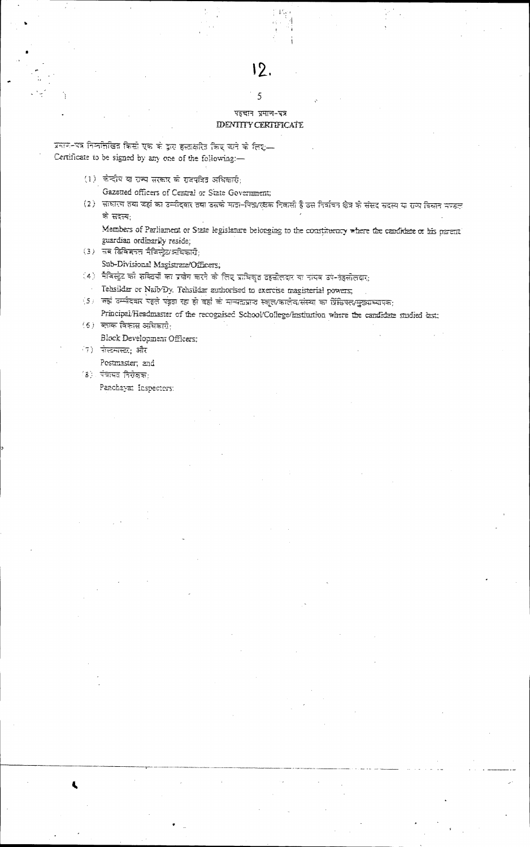### पहचान प्रमाण-पत्र **IDENTITY CERTIFICATE**

 $\overline{\overline{5}}$ 

प्रमाण-पत्र निमांसीखित किसी एक के द्वारा हस्ताक्षरित किए चाने के लिए-Certificate to be signed by any one of the following:-

- (1) कोदीय या राज्य सरकार के सदयत्रित अधिकारी;
	- Gazetted officers of Central or State Government:
- (2) साधारण तथा जहां का उम्मीदवार तथा उसके माता-पिता/रक्षक निवासी है उस निर्वाचन क्षेत्र के संसद सदस्य या राज्य विवान मण्डल के सदस्य:
	- Members of Parliament or State legislature belonging to the constituency where the candidate or his parent guardian ordinarily reside:
- $(3)$  सब डिविजनत मैक्स्ट्रियअधिकारी: Sub-Divisional Magistrate/Officers,
- (4) मैकिस्ट्रेट को शक्तिकों का प्रयोग करने के लिए प्राधिकृत दहसीलदार का नॉयब उपे-तेहसीलदार;
- Tehsildar or Naib/Dy. Tehsildar authorised to exercise magisterial powers;
- ंऽ। जहां उम्मीदवार पहले पढ़ता रहा हो वहां के मान्यताप्राप्त स्कूल/कालेब/संस्था का प्रिंसिपल/मुख्याध्यापक: Principal/Headmaster of the recognised School/Coffege/Institution where the candidate studied last:
- $(6)$  ब्लाक विकास अधिकारी: Block Development Officers;
- (7) सेस्टमास्ट, और

Postmaster, and

- (३) पंजायत निरोक्षक:
	- Panchayat Inspectors: